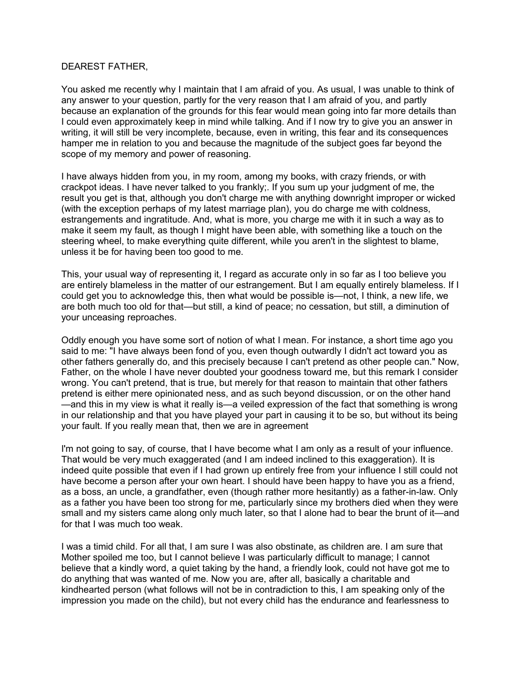## DEAREST FATHER,

You asked me recently why I maintain that I am afraid of you. As usual, I was unable to think of any answer to your question, partly for the very reason that I am afraid of you, and partly because an explanation of the grounds for this fear would mean going into far more details than I could even approximately keep in mind while talking. And if I now try to give you an answer in writing, it will still be very incomplete, because, even in writing, this fear and its consequences hamper me in relation to you and because the magnitude of the subject goes far beyond the scope of my memory and power of reasoning.

I have always hidden from you, in my room, among my books, with crazy friends, or with crackpot ideas. I have never talked to you frankly;. If you sum up your judgment of me, the result you get is that, although you don't charge me with anything downright improper or wicked (with the exception perhaps of my latest marriage plan), you do charge me with coldness, estrangements and ingratitude. And, what is more, you charge me with it in such a way as to make it seem my fault, as though I might have been able, with something like a touch on the steering wheel, to make everything quite different, while you aren't in the slightest to blame, unless it be for having been too good to me.

This, your usual way of representing it, I regard as accurate only in so far as I too believe you are entirely blameless in the matter of our estrangement. But I am equally entirely blameless. If I could get you to acknowledge this, then what would be possible is—not, I think, a new life, we are both much too old for that—but still, a kind of peace; no cessation, but still, a diminution of your unceasing reproaches.

Oddly enough you have some sort of notion of what I mean. For instance, a short time ago you said to me: "I have always been fond of you, even though outwardly I didn't act toward you as other fathers generally do, and this precisely because I can't pretend as other people can." Now, Father, on the whole I have never doubted your goodness toward me, but this remark I consider wrong. You can't pretend, that is true, but merely for that reason to maintain that other fathers pretend is either mere opinionated ness, and as such beyond discussion, or on the other hand —and this in my view is what it really is—a veiled expression of the fact that something is wrong in our relationship and that you have played your part in causing it to be so, but without its being your fault. If you really mean that, then we are in agreement

I'm not going to say, of course, that I have become what I am only as a result of your influence. That would be very much exaggerated (and I am indeed inclined to this exaggeration). It is indeed quite possible that even if I had grown up entirely free from your influence I still could not have become a person after your own heart. I should have been happy to have you as a friend, as a boss, an uncle, a grandfather, even (though rather more hesitantly) as a father-in-law. Only as a father you have been too strong for me, particularly since my brothers died when they were small and my sisters came along only much later, so that I alone had to bear the brunt of it—and for that I was much too weak.

I was a timid child. For all that, I am sure I was also obstinate, as children are. I am sure that Mother spoiled me too, but I cannot believe I was particularly difficult to manage; I cannot believe that a kindly word, a quiet taking by the hand, a friendly look, could not have got me to do anything that was wanted of me. Now you are, after all, basically a charitable and kindhearted person (what follows will not be in contradiction to this, I am speaking only of the impression you made on the child), but not every child has the endurance and fearlessness to